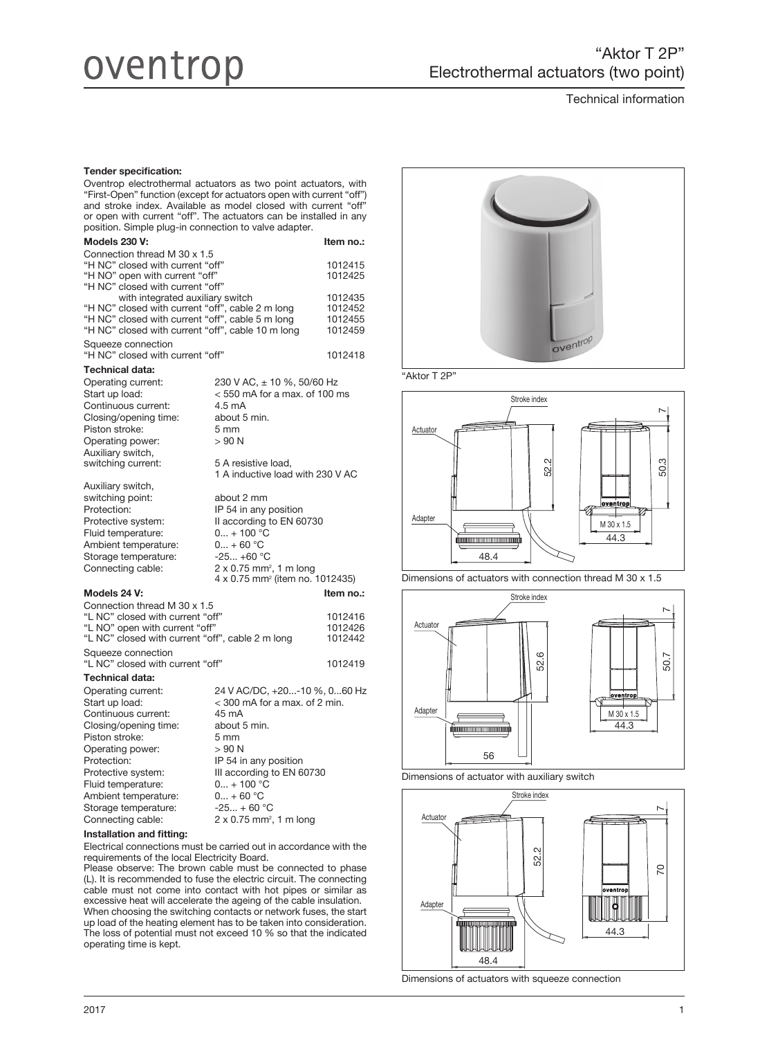# oventrop

Technical information

#### Tender specification:

Oventrop electrothermal actuators as two point actuators, with "First-Open" function (except for actuators open with current "off") and stroke index. Available as model closed with current "off" or open with current "off". The actuators can be installed in any position. Simple plug-in connection to valve adapter.

| Models 230 V:                                                                                        |                                                                                    | Item no.:          |
|------------------------------------------------------------------------------------------------------|------------------------------------------------------------------------------------|--------------------|
| Connection thread M 30 x 1.5                                                                         |                                                                                    |                    |
| "H NC" closed with current "off"<br>"H NO" open with current "off"                                   |                                                                                    | 1012415<br>1012425 |
| "H NC" closed with current "off"                                                                     |                                                                                    |                    |
| with integrated auxiliary switch                                                                     |                                                                                    | 1012435            |
| "H NC" closed with current "off", cable 2 m long<br>"H NC" closed with current "off", cable 5 m long |                                                                                    | 1012452<br>1012455 |
| "H NC" closed with current "off", cable 10 m long                                                    |                                                                                    | 1012459            |
| Squeeze connection<br>"H NC" closed with current "off"                                               |                                                                                    | 1012418            |
| <b>Technical data:</b>                                                                               |                                                                                    |                    |
| Operating current:                                                                                   | 230 V AC, ± 10 %, 50/60 Hz                                                         |                    |
| Start up load:                                                                                       | $<$ 550 mA for a max, of 100 ms                                                    |                    |
| Continuous current:                                                                                  | 4.5 mA                                                                             |                    |
| Closing/opening time:                                                                                | about 5 min.                                                                       |                    |
| Piston stroke:                                                                                       | 5 mm                                                                               |                    |
| Operating power:                                                                                     | > 90 N                                                                             |                    |
| Auxiliary switch,                                                                                    |                                                                                    |                    |
| switching current:                                                                                   | 5 A resistive load,                                                                |                    |
|                                                                                                      | 1 A inductive load with 230 V AC                                                   |                    |
| Auxiliary switch,                                                                                    |                                                                                    |                    |
| switching point:                                                                                     | about 2 mm                                                                         |                    |
| Protection:                                                                                          | IP 54 in any position                                                              |                    |
| Protective system:                                                                                   | Il according to EN 60730                                                           |                    |
| Fluid temperature:                                                                                   | $0 + 100 °C$                                                                       |                    |
| Ambient temperature:                                                                                 | $0 + 60 °C$                                                                        |                    |
| Storage temperature:                                                                                 | $-25 +60$ °C                                                                       |                    |
| Connecting cable:                                                                                    | 2 x 0.75 mm <sup>2</sup> , 1 m long<br>4 x 0.75 mm <sup>2</sup> (item no. 1012435) |                    |
| Models 24 V:                                                                                         |                                                                                    | Item no.:          |
| Connection thread M 30 x 1.5                                                                         |                                                                                    |                    |
| "L NC" closed with current "off"                                                                     |                                                                                    | 1012416            |
| "L NO" open with current "off"                                                                       |                                                                                    | 1012426            |
| "L NC" closed with current "off", cable 2 m long                                                     |                                                                                    | 1012442            |
| Squeeze connection<br>"L NC" closed with current "off"                                               |                                                                                    | 1012419            |
| Technical data:                                                                                      |                                                                                    |                    |
| Operating current:                                                                                   | 24 V AC/DC, +20-10 %, 060 Hz                                                       |                    |
| Start up load:                                                                                       | < 300 mA for a max. of 2 min.                                                      |                    |
| Continuous current:                                                                                  | 45 mA                                                                              |                    |
| Closing/opening time:                                                                                | about 5 min.                                                                       |                    |
| Piston stroke:                                                                                       | 5 mm                                                                               |                    |
| Operating power:                                                                                     | $>90$ N                                                                            |                    |
| Protection:                                                                                          | IP 54 in any position                                                              |                    |
| Protective system:                                                                                   | III according to EN 60730                                                          |                    |
| Fluid temperature:                                                                                   | $0 + 100 °C$                                                                       |                    |
| Ambient temperature:                                                                                 | $0 + 60 °C$                                                                        |                    |
| Storage temperature:                                                                                 | $-25 + 60 °C$                                                                      |                    |

Connecting cable:  $2 \times 0.75$  mm<sup>2</sup>, 1 m long

# Installation and fitting:

Electrical connections must be carried out in accordance with the requirements of the local Electricity Board.

Please observe: The brown cable must be connected to phase (L). It is recommended to fuse the electric circuit. The connecting cable must not come into contact with hot pipes or similar as excessive heat will accelerate the ageing of the cable insulation. When choosing the switching contacts or network fuses, the start up load of the heating element has to be taken into consideration. The loss of potential must not exceed 10 % so that the indicated operating time is kept.



"Aktor T 2P"



Dimensions of actuators with connection thread M 30 x 1.5



Dimensions of actuator with auxiliary switch



Dimensions of actuators with squeeze connection